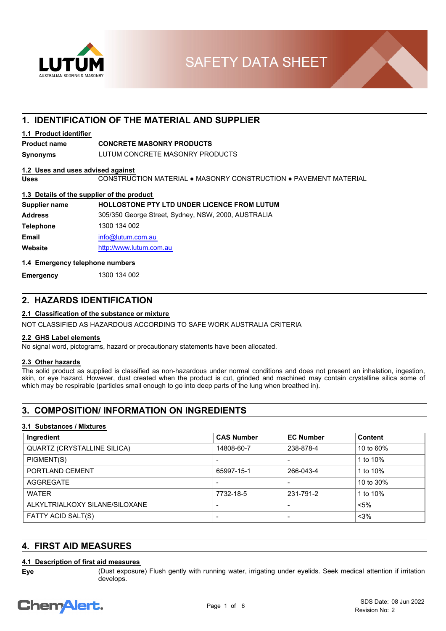

**SAFETY DATA SHEET** 

# **1. IDENTIFICATION OF THE MATERIAL AND SUPPLIER**

## **1.1 Product identifier**

# **Product name CONCRETE MASONRY PRODUCTS**

**Synonyms** LUTUM CONCRETE MASONRY PRODUCTS

## **1.2 Uses and uses advised against**

**Uses** CONSTRUCTION MATERIAL ● MASONRY CONSTRUCTION ● PAVEMENT MATERIAL

#### **1.3 Details of the supplier of the product**

| Supplier name    | <b>HOLLOSTONE PTY LTD UNDER LICENCE FROM LUTUM</b>  |
|------------------|-----------------------------------------------------|
| <b>Address</b>   | 305/350 George Street, Sydney, NSW, 2000, AUSTRALIA |
| <b>Telephone</b> | 1300 134 002                                        |
| Email            | info@lutum.com.au                                   |
| Website          | http://www.lutum.com.au                             |

## **1.4 Emergency telephone numbers**

**Emergency** 1300 134 002

# **2. HAZARDS IDENTIFICATION**

## **2.1 Classification of the substance or mixture**

NOT CLASSIFIED AS HAZARDOUS ACCORDING TO SAFE WORK AUSTRALIA CRITERIA

## **2.2 GHS Label elements**

No signal word, pictograms, hazard or precautionary statements have been allocated.

## **2.3 Other hazards**

The solid product as supplied is classified as non-hazardous under normal conditions and does not present an inhalation, ingestion, skin, or eye hazard. However, dust created when the product is cut, grinded and machined may contain crystalline silica some of which may be respirable (particles small enough to go into deep parts of the lung when breathed in).

# **3. COMPOSITION/ INFORMATION ON INGREDIENTS**

## **3.1 Substances / Mixtures**

| Ingredient                         | <b>CAS Number</b> | <b>EC Number</b>         | <b>Content</b> |
|------------------------------------|-------------------|--------------------------|----------------|
| <b>QUARTZ (CRYSTALLINE SILICA)</b> | 14808-60-7        | 238-878-4                | 10 to 60%      |
| PIGMENT(S)                         |                   | $\overline{\phantom{a}}$ | 1 to 10%       |
| PORTLAND CEMENT                    | 65997-15-1        | 266-043-4                | 1 to 10%       |
| AGGREGATE                          |                   | $\,$                     | 10 to 30%      |
| <b>WATER</b>                       | 7732-18-5         | 231-791-2                | 1 to 10%       |
| ALKYLTRIALKOXY SILANE/SILOXANE     |                   | $\,$                     | $< 5\%$        |
| <b>FATTY ACID SALT(S)</b>          |                   | $\,$                     | $< 3\%$        |

# **4. FIRST AID MEASURES**

## **4.1 Description of first aid measures**

**Eye**

(Dust exposure) Flush gently with running water, irrigating under eyelids. Seek medical attention if irritation develops.

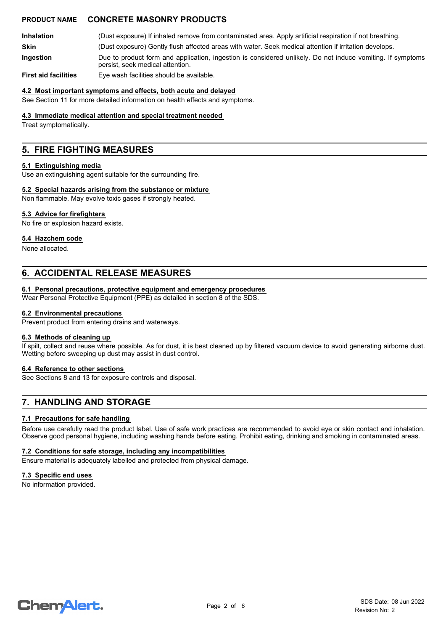**Inhalation** (Dust exposure) If inhaled remove from contaminated area. Apply artificial respiration if not breathing. **Skin** (Dust exposure) Gently flush affected areas with water. Seek medical attention if irritation develops. Due to product form and application, ingestion is considered unlikely. Do not induce vomiting. If symptoms persist, seek medical attention. **Ingestion**

**First aid facilities** Eye wash facilities should be available.

## **4.2 Most important symptoms and effects, both acute and delayed**

See Section 11 for more detailed information on health effects and symptoms.

#### **4.3 Immediate medical attention and special treatment needed**

Treat symptomatically.

# **5. FIRE FIGHTING MEASURES**

#### **5.1 Extinguishing media**

Use an extinguishing agent suitable for the surrounding fire.

#### **5.2 Special hazards arising from the substance or mixture**

Non flammable. May evolve toxic gases if strongly heated.

#### **5.3 Advice for firefighters**

No fire or explosion hazard exists.

#### **5.4 Hazchem code**

None allocated.

# **6. ACCIDENTAL RELEASE MEASURES**

## **6.1 Personal precautions, protective equipment and emergency procedures**

Wear Personal Protective Equipment (PPE) as detailed in section 8 of the SDS.

#### **6.2 Environmental precautions**

Prevent product from entering drains and waterways.

#### **6.3 Methods of cleaning up**

If spilt, collect and reuse where possible. As for dust, it is best cleaned up by filtered vacuum device to avoid generating airborne dust. Wetting before sweeping up dust may assist in dust control.

#### **6.4 Reference to other sections**

See Sections 8 and 13 for exposure controls and disposal.

# **7. HANDLING AND STORAGE**

## **7.1 Precautions for safe handling**

Before use carefully read the product label. Use of safe work practices are recommended to avoid eye or skin contact and inhalation. Observe good personal hygiene, including washing hands before eating. Prohibit eating, drinking and smoking in contaminated areas.

#### **7.2 Conditions for safe storage, including any incompatibilities**

Ensure material is adequately labelled and protected from physical damage.

#### **7.3 Specific end uses**

No information provided.

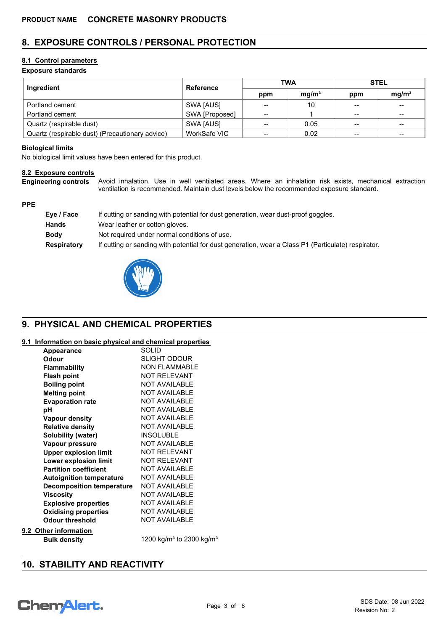# **8. EXPOSURE CONTROLS / PERSONAL PROTECTION**

# **8.1 Control parameters**

## **Exposure standards**

| Ingredient                                      | <b>Reference</b> | <b>TWA</b> |                   | <b>STEL</b>     |                   |
|-------------------------------------------------|------------------|------------|-------------------|-----------------|-------------------|
|                                                 |                  | ppm        | mq/m <sup>3</sup> | ppm             | mg/m <sup>3</sup> |
| Portland cement                                 | SWA [AUS]        | --         | 10                | $-$             | $\sim$            |
| Portland cement                                 | SWA [Proposed]   | --         |                   | $\qquad \qquad$ | $- -$             |
| Quartz (respirable dust)                        | SWA [AUS]        | --         | 0.05              | $- -$           | $- -$             |
| Quartz (respirable dust) (Precautionary advice) | WorkSafe VIC     | --         | 0.02              | $\qquad \qquad$ | $\sim$            |

#### **Biological limits**

No biological limit values have been entered for this product.

## **8.2 Exposure controls**

Avoid inhalation. Use in well ventilated areas. Where an inhalation risk exists, mechanical extraction ventilation is recommended. Maintain dust levels below the recommended exposure standard. **Engineering controls**

#### **PPE**

| Eye / Face         | If cutting or sanding with potential for dust generation, wear dust-proof goggles.                  |
|--------------------|-----------------------------------------------------------------------------------------------------|
| <b>Hands</b>       | Wear leather or cotton gloves.                                                                      |
| <b>Body</b>        | Not required under normal conditions of use.                                                        |
| <b>Respiratory</b> | If cutting or sanding with potential for dust generation, wear a Class P1 (Particulate) respirator. |



# **9. PHYSICAL AND CHEMICAL PROPERTIES**

## **9.1 Information on basic physical and chemical properties**

| <b>Appearance</b>                | <b>SOLID</b>                                     |
|----------------------------------|--------------------------------------------------|
| <b>Odour</b>                     | <b>SLIGHT ODOUR</b>                              |
| <b>Flammability</b>              | <b>NON FLAMMABLE</b>                             |
| <b>Flash point</b>               | <b>NOT RELEVANT</b>                              |
| <b>Boiling point</b>             | <b>NOT AVAILABLE</b>                             |
| <b>Melting point</b>             | <b>NOT AVAILABLE</b>                             |
| <b>Evaporation rate</b>          | <b>NOT AVAILABLE</b>                             |
| рH                               | <b>NOT AVAILABLE</b>                             |
| <b>Vapour density</b>            | <b>NOT AVAILABLE</b>                             |
| <b>Relative density</b>          | <b>NOT AVAILABLE</b>                             |
| Solubility (water)               | <b>INSOLUBLE</b>                                 |
| Vapour pressure                  | <b>NOT AVAILABLE</b>                             |
| <b>Upper explosion limit</b>     | <b>NOT RELEVANT</b>                              |
| Lower explosion limit            | <b>NOT RELEVANT</b>                              |
| <b>Partition coefficient</b>     | <b>NOT AVAILABLE</b>                             |
| <b>Autoignition temperature</b>  | <b>NOT AVAILABLE</b>                             |
| <b>Decomposition temperature</b> | <b>NOT AVAILABLE</b>                             |
| Viscositv                        | <b>NOT AVAILABLE</b>                             |
| <b>Explosive properties</b>      | <b>NOT AVAILABLE</b>                             |
| <b>Oxidising properties</b>      | <b>NOT AVAILABLE</b>                             |
| <b>Odour threshold</b>           | <b>NOT AVAILABLE</b>                             |
| 9.2 Other information            |                                                  |
| <b>Bulk density</b>              | 1200 kg/m <sup>3</sup> to 2300 kg/m <sup>3</sup> |
|                                  |                                                  |

# **10. STABILITY AND REACTIVITY**

# **Chemalert.**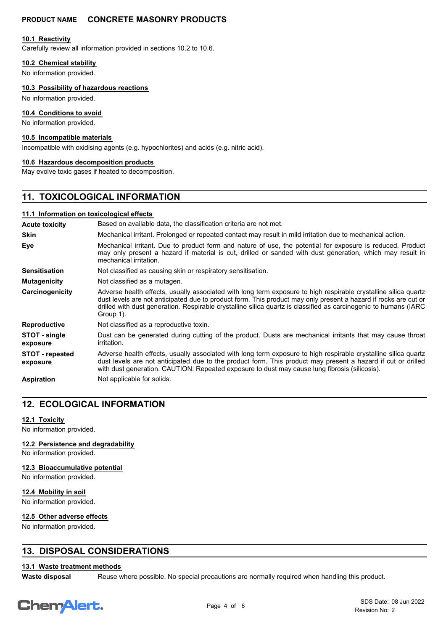## **10.1 Reactivity**

Carefully review all information provided in sections 10.2 to 10.6.

#### **10.2 Chemical stability**

No information provided.

#### **10.3 Possibility of hazardous reactions**

No information provided.

#### **10.4 Conditions to avoid**

No information provided.

#### **10.5 Incompatible materials**

Incompatible with oxidising agents (e.g. hypochlorites) and acids (e.g. nitric acid).

## **10.6 Hazardous decomposition products**

May evolve toxic gases if heated to decomposition.

# **11. TOXICOLOGICAL INFORMATION**

#### **11.1 Information on toxicological effects**

| <b>Acute toxicity</b>              | Based on available data, the classification criteria are not met.                                                                                                                                                                                                                                                                                                   |  |  |
|------------------------------------|---------------------------------------------------------------------------------------------------------------------------------------------------------------------------------------------------------------------------------------------------------------------------------------------------------------------------------------------------------------------|--|--|
| <b>Skin</b>                        | Mechanical irritant. Prolonged or repeated contact may result in mild irritation due to mechanical action.                                                                                                                                                                                                                                                          |  |  |
| Eye                                | Mechanical irritant. Due to product form and nature of use, the potential for exposure is reduced. Product<br>may only present a hazard if material is cut, drilled or sanded with dust generation, which may result in<br>mechanical irritation.                                                                                                                   |  |  |
| <b>Sensitisation</b>               | Not classified as causing skin or respiratory sensitisation.                                                                                                                                                                                                                                                                                                        |  |  |
| <b>Mutagenicity</b>                | Not classified as a mutagen.                                                                                                                                                                                                                                                                                                                                        |  |  |
| Carcinogenicity                    | Adverse health effects, usually associated with long term exposure to high respirable crystalline silica quartz<br>dust levels are not anticipated due to product form. This product may only present a hazard if rocks are cut or<br>drilled with dust generation. Respirable crystalline silica quartz is classified as carcinogenic to humans (IARC<br>Group 1). |  |  |
| <b>Reproductive</b>                | Not classified as a reproductive toxin.                                                                                                                                                                                                                                                                                                                             |  |  |
| STOT - single<br>exposure          | Dust can be generated during cutting of the product. Dusts are mechanical irritants that may cause throat<br><i>irritation.</i>                                                                                                                                                                                                                                     |  |  |
| <b>STOT - repeated</b><br>exposure | Adverse health effects, usually associated with long term exposure to high respirable crystalline silica quartz<br>dust levels are not anticipated due to the product form. This product may present a hazard if cut or drilled<br>with dust generation. CAUTION: Repeated exposure to dust may cause lung fibrosis (silicosis).                                    |  |  |
| <b>Aspiration</b>                  | Not applicable for solids.                                                                                                                                                                                                                                                                                                                                          |  |  |

# **12. ECOLOGICAL INFORMATION**

# **12.1 Toxicity**

No information provided.

**12.2 Persistence and degradability**

No information provided.

#### **12.3 Bioaccumulative potential**

No information provided.

#### **12.4 Mobility in soil**

No information provided.

## **12.5 Other adverse effects**

No information provided.

# **13. DISPOSAL CONSIDERATIONS**

## **13.1 Waste treatment methods**

Reuse where possible. No special precautions are normally required when handling this product. **Waste disposal**

# **ChemAlert.**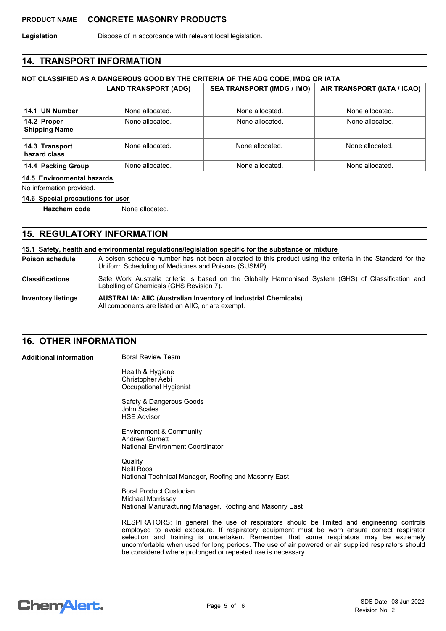Legislation **Dispose of in accordance with relevant local legislation.** 

# **14. TRANSPORT INFORMATION**

## **NOT CLASSIFIED AS A DANGEROUS GOOD BY THE CRITERIA OF THE ADG CODE, IMDG OR IATA**

|                                     | <b>LAND TRANSPORT (ADG)</b> | <b>SEA TRANSPORT (IMDG / IMO)</b> | AIR TRANSPORT (IATA / ICAO) |
|-------------------------------------|-----------------------------|-----------------------------------|-----------------------------|
| 14.1 UN Number                      | None allocated.             | None allocated.                   | None allocated.             |
| 14.2 Proper<br><b>Shipping Name</b> | None allocated.             | None allocated.                   | None allocated.             |
| 14.3 Transport<br>hazard class      | None allocated.             | None allocated.                   | None allocated.             |
| 14.4 Packing Group                  | None allocated.             | None allocated.                   | None allocated.             |

#### **14.5 Environmental hazards**

No information provided.

#### **14.6 Special precautions for user**

**Hazchem code** None allocated.

# **15. REGULATORY INFORMATION**

A poison schedule number has not been allocated to this product using the criteria in the Standard for the Uniform Scheduling of Medicines and Poisons (SUSMP). **15.1 Safety, health and environmental regulations/legislation specific for the substance or mixture Poison schedule**

Safe Work Australia criteria is based on the Globally Harmonised System (GHS) of Classification and Labelling of Chemicals (GHS Revision 7). **Classifications**

**AUSTRALIA: AIIC (Australian Inventory of Industrial Chemicals)** All components are listed on AIIC, or are exempt. **Inventory listings**

# **16. OTHER INFORMATION**

**Additional information**

Boral Review Team

Health & Hygiene Christopher Aebi Occupational Hygienist

Safety & Dangerous Goods John Scales HSE Advisor

Environment & Community Andrew Gurnett National Environment Coordinator

**Quality** Neill Roos National Technical Manager, Roofing and Masonry East

Boral Product Custodian Michael Morrissey National Manufacturing Manager, Roofing and Masonry East

RESPIRATORS: In general the use of respirators should be limited and engineering controls employed to avoid exposure. If respiratory equipment must be worn ensure correct respirator selection and training is undertaken. Remember that some respirators may be extremely uncomfortable when used for long periods. The use of air powered or air supplied respirators should be considered where prolonged or repeated use is necessary.

# **ChemAlert.**